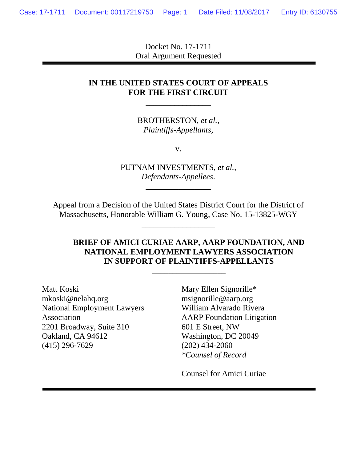Docket No. 17-1711 Oral Argument Requested

## **IN THE UNITED STATES COURT OF APPEALS FOR THE FIRST CIRCUIT**

**\_\_\_\_\_\_\_\_\_\_\_\_\_\_\_\_**

BROTHERSTON, *et al., Plaintiffs-Appellants*,

v.

PUTNAM INVESTMENTS, *et al., Defendants-Appellees*.

**\_\_\_\_\_\_\_\_\_\_\_\_\_\_\_\_**

Appeal from a Decision of the United States District Court for the District of Massachusetts, Honorable William G. Young, Case No. 15-13825-WGY

\_\_\_\_\_\_\_\_\_\_\_\_\_\_\_\_\_\_

### **BRIEF OF AMICI CURIAE AARP, AARP FOUNDATION, AND NATIONAL EMPLOYMENT LAWYERS ASSOCIATION IN SUPPORT OF PLAINTIFFS-APPELLANTS**

\_\_\_\_\_\_\_\_\_\_\_\_\_\_\_\_\_\_

Matt Koski mkoski@nelahq.org National Employment Lawyers Association 2201 Broadway, Suite 310 Oakland, CA 94612 (415) 296-7629

Mary Ellen Signorille\* msignorille@aarp.org William Alvarado Rivera AARP Foundation Litigation 601 E Street, NW Washington, DC 20049 (202) 434-2060 *\*Counsel of Record*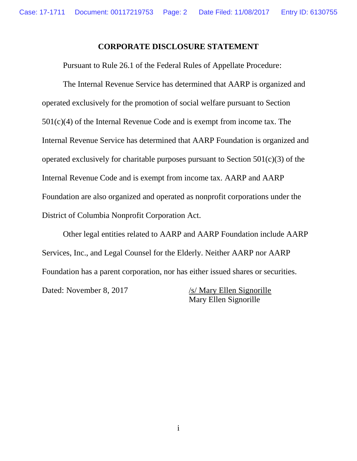#### **CORPORATE DISCLOSURE STATEMENT**

Pursuant to Rule 26.1 of the Federal Rules of Appellate Procedure:

The Internal Revenue Service has determined that AARP is organized and operated exclusively for the promotion of social welfare pursuant to Section 501(c)(4) of the Internal Revenue Code and is exempt from income tax. The Internal Revenue Service has determined that AARP Foundation is organized and operated exclusively for charitable purposes pursuant to Section 501(c)(3) of the Internal Revenue Code and is exempt from income tax. AARP and AARP Foundation are also organized and operated as nonprofit corporations under the District of Columbia Nonprofit Corporation Act.

Other legal entities related to AARP and AARP Foundation include AARP Services, Inc., and Legal Counsel for the Elderly. Neither AARP nor AARP Foundation has a parent corporation, nor has either issued shares or securities. Dated: November 8, 2017 /s/ Mary Ellen Signorille

Mary Ellen Signorille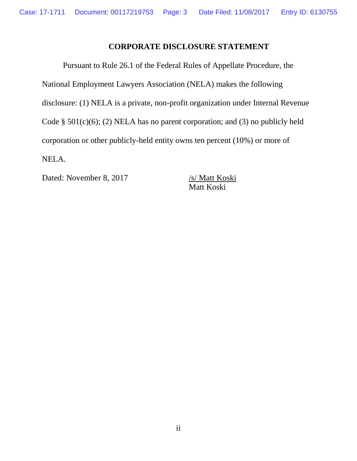## **CORPORATE DISCLOSURE STATEMENT**

Pursuant to Rule 26.1 of the Federal Rules of Appellate Procedure, the National Employment Lawyers Association (NELA) makes the following disclosure: (1) NELA is a private, non-profit organization under Internal Revenue Code  $\S$  501(c)(6); (2) NELA has no parent corporation; and (3) no publicly held corporation or other publicly-held entity owns ten percent (10%) or more of NELA.

Dated: November 8, 2017 /s/ Matt Koski

Matt Koski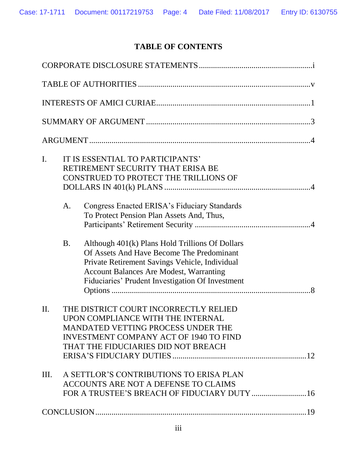# **TABLE OF CONTENTS**

| $\mathbf{I}$ .<br>IT IS ESSENTIAL TO PARTICIPANTS'<br>RETIREMENT SECURITY THAT ERISA BE<br>CONSTRUED TO PROTECT THE TRILLIONS OF                                                                                                                                  |
|-------------------------------------------------------------------------------------------------------------------------------------------------------------------------------------------------------------------------------------------------------------------|
| Congress Enacted ERISA's Fiduciary Standards<br>A.<br>To Protect Pension Plan Assets And, Thus,                                                                                                                                                                   |
| <b>B.</b><br>Although 401(k) Plans Hold Trillions Of Dollars<br>Of Assets And Have Become The Predominant<br>Private Retirement Savings Vehicle, Individual<br><b>Account Balances Are Modest, Warranting</b><br>Fiduciaries' Prudent Investigation Of Investment |
| THE DISTRICT COURT INCORRECTLY RELIED<br>II.<br>UPON COMPLIANCE WITH THE INTERNAL<br><b>MANDATED VETTING PROCESS UNDER THE</b><br><b>INVESTMENT COMPANY ACT OF 1940 TO FIND</b><br>THAT THE FIDUCIARIES DID NOT BREACH                                            |
| A SETTLOR'S CONTRIBUTIONS TO ERISA PLAN<br>III.<br>ACCOUNTS ARE NOT A DEFENSE TO CLAIMS<br>FOR A TRUSTEE'S BREACH OF FIDUCIARY DUTY  16                                                                                                                           |
|                                                                                                                                                                                                                                                                   |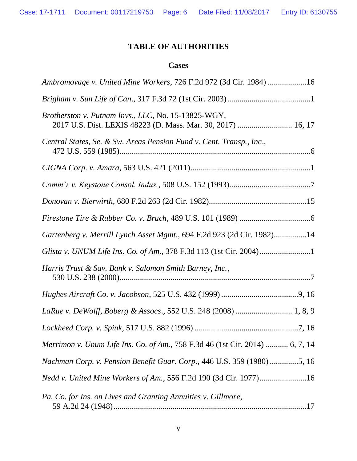# **TABLE OF AUTHORITIES**

# **Cases**

| Ambromovage v. United Mine Workers, 726 F.2d 972 (3d Cir. 1984) 16                                                  |
|---------------------------------------------------------------------------------------------------------------------|
|                                                                                                                     |
| Brotherston v. Putnam Invs., LLC, No. 15-13825-WGY,<br>2017 U.S. Dist. LEXIS 48223 (D. Mass. Mar. 30, 2017)  16, 17 |
| Central States, Se. & Sw. Areas Pension Fund v. Cent. Transp., Inc.,                                                |
|                                                                                                                     |
|                                                                                                                     |
|                                                                                                                     |
|                                                                                                                     |
| Gartenberg v. Merrill Lynch Asset Mgmt., 694 F.2d 923 (2d Cir. 1982)14                                              |
|                                                                                                                     |
| Harris Trust & Sav. Bank v. Salomon Smith Barney, Inc.,                                                             |
|                                                                                                                     |
|                                                                                                                     |
|                                                                                                                     |
| Merrimon v. Unum Life Ins. Co. of Am., 758 F.3d 46 (1st Cir. 2014)  6, 7, 14                                        |
| Nachman Corp. v. Pension Benefit Guar. Corp., 446 U.S. 359 (1980) 5, 16                                             |
| Nedd v. United Mine Workers of Am., 556 F.2d 190 (3d Cir. 1977)16                                                   |
| Pa. Co. for Ins. on Lives and Granting Annuities v. Gillmore,                                                       |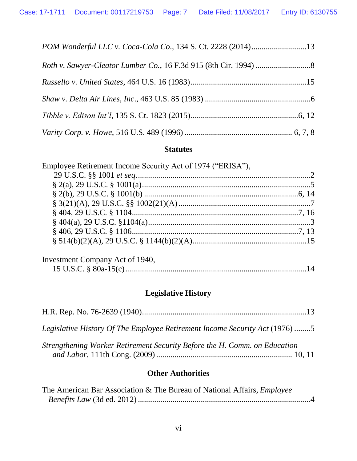# **Statutes**

| Employee Retirement Income Security Act of 1974 ("ERISA"), |  |
|------------------------------------------------------------|--|
|                                                            |  |
|                                                            |  |
|                                                            |  |
|                                                            |  |
|                                                            |  |
|                                                            |  |
|                                                            |  |
|                                                            |  |
|                                                            |  |

| Investment Company Act of 1940, |  |
|---------------------------------|--|
|                                 |  |

# **Legislative History**

| Legislative History Of The Employee Retirement Income Security Act (1976) 5 |  |
|-----------------------------------------------------------------------------|--|
| Strengthening Worker Retirement Security Before the H. Comm. on Education   |  |

# **Other Authorities**

| The American Bar Association & The Bureau of National Affairs, <i>Employee</i> |  |
|--------------------------------------------------------------------------------|--|
|                                                                                |  |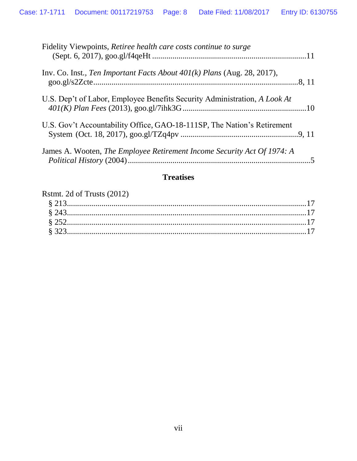| Fidelity Viewpoints, Retiree health care costs continue to surge               |
|--------------------------------------------------------------------------------|
| Inv. Co. Inst., Ten Important Facts About $401(k)$ Plans (Aug. 28, 2017),      |
| U.S. Dep't of Labor, Employee Benefits Security Administration, A Look At      |
| U.S. Gov't Accountability Office, GAO-18-111SP, The Nation's Retirement        |
| James A. Wooten, <i>The Employee Retirement Income Security Act Of 1974: A</i> |

# **Treatises**

| Rstmt. 2d of Trusts (2012) |  |
|----------------------------|--|
|----------------------------|--|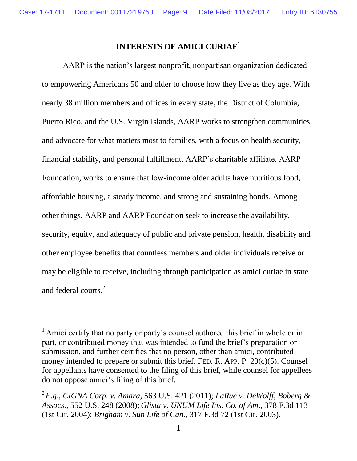## **INTERESTS OF AMICI CURIAE<sup>1</sup>**

AARP is the nation's largest nonprofit, nonpartisan organization dedicated to empowering Americans 50 and older to choose how they live as they age. With nearly 38 million members and offices in every state, the District of Columbia, Puerto Rico, and the U.S. Virgin Islands, AARP works to strengthen communities and advocate for what matters most to families, with a focus on health security, financial stability, and personal fulfillment. AARP's charitable affiliate, AARP Foundation, works to ensure that low-income older adults have nutritious food, affordable housing, a steady income, and strong and sustaining bonds. Among other things, AARP and AARP Foundation seek to increase the availability, security, equity, and adequacy of public and private pension, health, disability and other employee benefits that countless members and older individuals receive or may be eligible to receive, including through participation as amici curiae in state and federal courts.<sup>2</sup>

 $\overline{a}$ 

<sup>&</sup>lt;sup>1</sup> Amici certify that no party or party's counsel authored this brief in whole or in part, or contributed money that was intended to fund the brief's preparation or submission, and further certifies that no person, other than amici, contributed money intended to prepare or submit this brief. FED. R. APP. P. 29(c)(5). Counsel for appellants have consented to the filing of this brief, while counsel for appellees do not oppose amici's filing of this brief.

<sup>2</sup> *E.g*., *CIGNA Corp. v. Amara*, 563 U.S. 421 (2011); *LaRue v. DeWolff, Boberg & Assocs*., 552 U.S. 248 (2008); *Glista v. UNUM Life Ins. Co. of Am*., 378 F.3d 113 (1st Cir. 2004); *Brigham v. Sun Life of Can*., 317 F.3d 72 (1st Cir. 2003).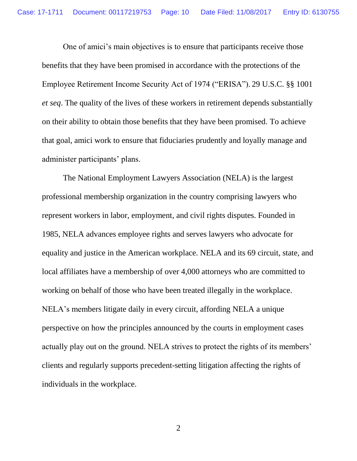One of amici's main objectives is to ensure that participants receive those benefits that they have been promised in accordance with the protections of the Employee Retirement Income Security Act of 1974 ("ERISA"). 29 U.S.C. §§ 1001 *et seq*. The quality of the lives of these workers in retirement depends substantially on their ability to obtain those benefits that they have been promised. To achieve that goal, amici work to ensure that fiduciaries prudently and loyally manage and administer participants' plans.

The National Employment Lawyers Association (NELA) is the largest professional membership organization in the country comprising lawyers who represent workers in labor, employment, and civil rights disputes. Founded in 1985, NELA advances employee rights and serves lawyers who advocate for equality and justice in the American workplace. NELA and its 69 circuit, state, and local affiliates have a membership of over 4,000 attorneys who are committed to working on behalf of those who have been treated illegally in the workplace. NELA's members litigate daily in every circuit, affording NELA a unique perspective on how the principles announced by the courts in employment cases actually play out on the ground. NELA strives to protect the rights of its members' clients and regularly supports precedent-setting litigation affecting the rights of individuals in the workplace.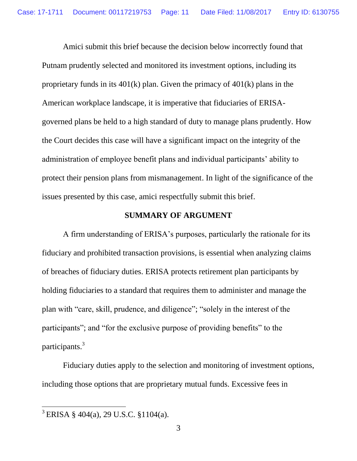Amici submit this brief because the decision below incorrectly found that Putnam prudently selected and monitored its investment options, including its proprietary funds in its 401(k) plan. Given the primacy of 401(k) plans in the American workplace landscape, it is imperative that fiduciaries of ERISAgoverned plans be held to a high standard of duty to manage plans prudently. How the Court decides this case will have a significant impact on the integrity of the administration of employee benefit plans and individual participants' ability to protect their pension plans from mismanagement. In light of the significance of the issues presented by this case, amici respectfully submit this brief.

#### **SUMMARY OF ARGUMENT**

A firm understanding of ERISA's purposes, particularly the rationale for its fiduciary and prohibited transaction provisions, is essential when analyzing claims of breaches of fiduciary duties. ERISA protects retirement plan participants by holding fiduciaries to a standard that requires them to administer and manage the plan with "care, skill, prudence, and diligence"; "solely in the interest of the participants"; and "for the exclusive purpose of providing benefits" to the participants.<sup>3</sup>

Fiduciary duties apply to the selection and monitoring of investment options, including those options that are proprietary mutual funds. Excessive fees in

 $\overline{a}$ 

 $3$  ERISA § 404(a), 29 U.S.C. §1104(a).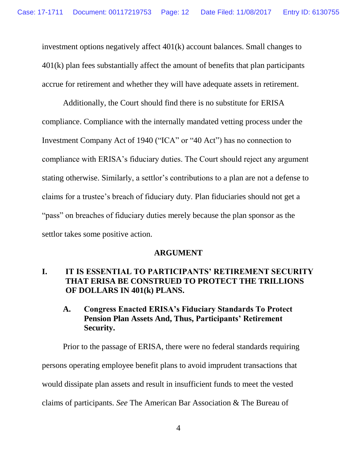investment options negatively affect 401(k) account balances. Small changes to 401(k) plan fees substantially affect the amount of benefits that plan participants accrue for retirement and whether they will have adequate assets in retirement.

Additionally, the Court should find there is no substitute for ERISA compliance. Compliance with the internally mandated vetting process under the Investment Company Act of 1940 ("ICA" or "40 Act") has no connection to compliance with ERISA's fiduciary duties. The Court should reject any argument stating otherwise. Similarly, a settlor's contributions to a plan are not a defense to claims for a trustee's breach of fiduciary duty. Plan fiduciaries should not get a "pass" on breaches of fiduciary duties merely because the plan sponsor as the settlor takes some positive action.

#### **ARGUMENT**

## **I. IT IS ESSENTIAL TO PARTICIPANTS' RETIREMENT SECURITY THAT ERISA BE CONSTRUED TO PROTECT THE TRILLIONS OF DOLLARS IN 401(k) PLANS.**

## **A. Congress Enacted ERISA's Fiduciary Standards To Protect Pension Plan Assets And, Thus, Participants' Retirement Security.**

Prior to the passage of ERISA, there were no federal standards requiring persons operating employee benefit plans to avoid imprudent transactions that would dissipate plan assets and result in insufficient funds to meet the vested claims of participants. *See* The American Bar Association & The Bureau of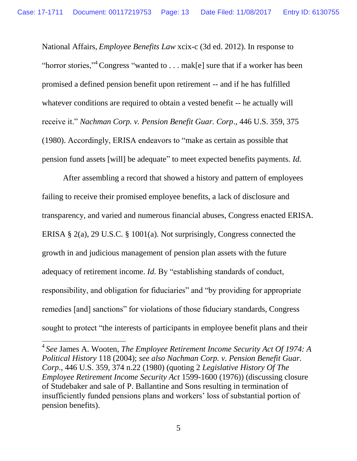National Affairs, *Employee Benefits Law* xcix-c (3d ed. 2012). In response to "horror stories,"<sup>4</sup> Congress "wanted to . . . mak[e] sure that if a worker has been promised a defined pension benefit upon retirement -- and if he has fulfilled whatever conditions are required to obtain a vested benefit -- he actually will receive it." *Nachman Corp. v. Pension Benefit Guar. Corp*., 446 U.S. 359, 375 (1980). Accordingly, ERISA endeavors to "make as certain as possible that pension fund assets [will] be adequate" to meet expected benefits payments. *Id.*

After assembling a record that showed a history and pattern of employees failing to receive their promised employee benefits, a lack of disclosure and transparency, and varied and numerous financial abuses, Congress enacted ERISA. ERISA § 2(a), 29 U.S.C. § 1001(a). Not surprisingly, Congress connected the growth in and judicious management of pension plan assets with the future adequacy of retirement income. *Id*. By "establishing standards of conduct, responsibility, and obligation for fiduciaries" and "by providing for appropriate remedies [and] sanctions" for violations of those fiduciary standards, Congress sought to protect "the interests of participants in employee benefit plans and their

4 *See* James A. Wooten, *The Employee Retirement Income Security Act Of 1974: A Political History* 118 (2004); *see also Nachman Corp. v. Pension Benefit Guar. Corp*., 446 U.S. 359, 374 n.22 (1980) (quoting 2 *Legislative History Of The Employee Retirement Income Security Act* 1599-1600 (1976)) (discussing closure of Studebaker and sale of P. Ballantine and Sons resulting in termination of insufficiently funded pensions plans and workers' loss of substantial portion of pension benefits).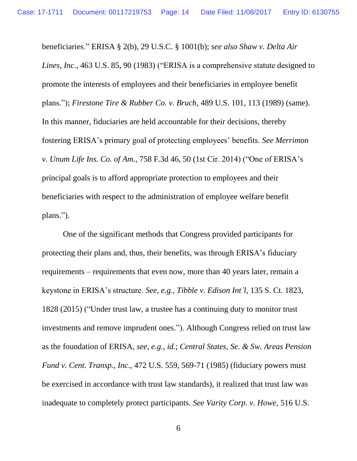beneficiaries." ERISA § 2(b), 29 U.S.C. § 1001(b); *see also Shaw v. Delta Air Lines, Inc*., 463 U.S. 85, 90 (1983) ("ERISA is a comprehensive statute designed to promote the interests of employees and their beneficiaries in employee benefit plans."); *Firestone Tire & Rubber Co. v. Bruch*, 489 U.S. 101, 113 (1989) (same). In this manner, fiduciaries are held accountable for their decisions, thereby fostering ERISA's primary goal of protecting employees' benefits. *See Merrimon v. Unum Life Ins. Co. of Am.*, 758 F.3d 46, 50 (1st Cir. 2014) ("One of ERISA's principal goals is to afford appropriate protection to employees and their beneficiaries with respect to the administration of employee welfare benefit plans.").

One of the significant methods that Congress provided participants for protecting their plans and, thus, their benefits, was through ERISA's fiduciary requirements – requirements that even now, more than 40 years later, remain a keystone in ERISA's structure. *See, e.g.*, *Tibble v. Edison Int'l*, 135 S. Ct. 1823, 1828 (2015) ("Under trust law, a trustee has a continuing duty to monitor trust investments and remove imprudent ones."). Although Congress relied on trust law as the foundation of ERISA, *see, e.g.*, *id.*; *Central States, Se. & Sw. Areas Pension Fund v. Cent. Transp., Inc*., 472 U.S. 559, 569-71 (1985) (fiduciary powers must be exercised in accordance with trust law standards), it realized that trust law was inadequate to completely protect participants. *See Varity Corp. v. Howe*, 516 U.S.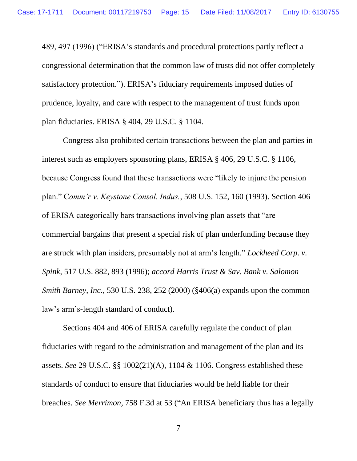489, 497 (1996) ("ERISA's standards and procedural protections partly reflect a congressional determination that the common law of trusts did not offer completely satisfactory protection."). ERISA's fiduciary requirements imposed duties of prudence, loyalty, and care with respect to the management of trust funds upon plan fiduciaries. ERISA § 404, 29 U.S.C. § 1104.

Congress also prohibited certain transactions between the plan and parties in interest such as employers sponsoring plans, ERISA § 406, 29 U.S.C. § 1106, because Congress found that these transactions were "likely to injure the pension plan." C*omm'r v. Keystone Consol. Indus.*, 508 U.S. 152, 160 (1993). Section 406 of ERISA categorically bars transactions involving plan assets that "are commercial bargains that present a special risk of plan underfunding because they are struck with plan insiders, presumably not at arm's length." *Lockheed Corp. v. Spink*, 517 U.S. 882, 893 (1996); *accord Harris Trust & Sav. Bank v. Salomon Smith Barney, Inc.*, 530 U.S. 238, 252 (2000) (§406(a) expands upon the common law's arm's-length standard of conduct).

Sections 404 and 406 of ERISA carefully regulate the conduct of plan fiduciaries with regard to the administration and management of the plan and its assets. *See* 29 U.S.C. §§ 1002(21)(A), 1104 & 1106. Congress established these standards of conduct to ensure that fiduciaries would be held liable for their breaches. *See Merrimon,* 758 F.3d at 53 ("An ERISA beneficiary thus has a legally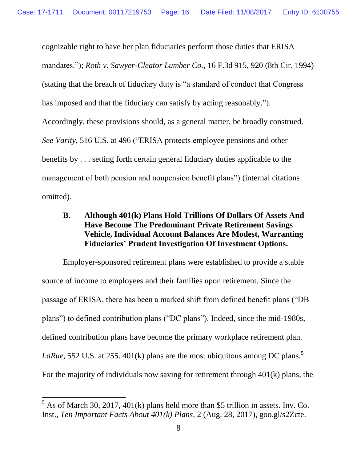cognizable right to have her plan fiduciaries perform those duties that ERISA mandates."); *Roth v. Sawyer-Cleator Lumber Co.*, 16 F.3d 915, 920 (8th Cir. 1994) (stating that the breach of fiduciary duty is "a standard of conduct that Congress has imposed and that the fiduciary can satisfy by acting reasonably."). Accordingly, these provisions should, as a general matter, be broadly construed. *See Varity*, 516 U.S. at 496 ("ERISA protects employee pensions and other benefits by . . . setting forth certain general fiduciary duties applicable to the management of both pension and nonpension benefit plans") (internal citations omitted).

## **B. Although 401(k) Plans Hold Trillions Of Dollars Of Assets And Have Become The Predominant Private Retirement Savings Vehicle, Individual Account Balances Are Modest, Warranting Fiduciaries' Prudent Investigation Of Investment Options.**

Employer-sponsored retirement plans were established to provide a stable source of income to employees and their families upon retirement. Since the passage of ERISA, there has been a marked shift from defined benefit plans ("DB plans") to defined contribution plans ("DC plans"). Indeed, since the mid-1980s, defined contribution plans have become the primary workplace retirement plan. *LaRue*, 552 U.S. at 255. 401(k) plans are the most ubiquitous among DC plans.<sup>5</sup> For the majority of individuals now saving for retirement through 401(k) plans, the

 $\overline{a}$ 

 $<sup>5</sup>$  As of March 30, 2017, 401(k) plans held more than \$5 trillion in assets. Inv. Co.</sup> Inst., *Ten Important Facts About 401(k) Plans*, 2 (Aug. 28, 2017), goo.gl/s2Zcte.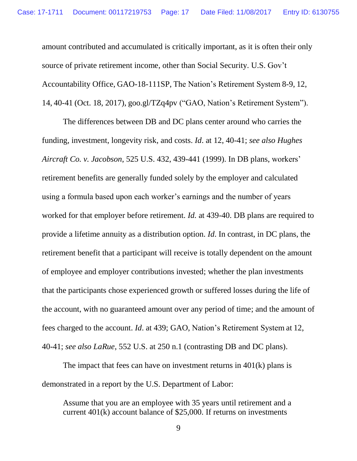amount contributed and accumulated is critically important, as it is often their only source of private retirement income, other than Social Security. U.S. Gov't Accountability Office, GAO-18-111SP, The Nation's Retirement System 8-9, 12, 14, 40-41 (Oct. 18, 2017), goo.gl/TZq4pv ("GAO, Nation's Retirement System").

The differences between DB and DC plans center around who carries the funding, investment, longevity risk, and costs. *Id*. at 12, 40-41; *see also Hughes Aircraft Co. v. Jacobson*, 525 U.S. 432, 439-441 (1999). In DB plans, workers' retirement benefits are generally funded solely by the employer and calculated using a formula based upon each worker's earnings and the number of years worked for that employer before retirement. *Id.* at 439-40. DB plans are required to provide a lifetime annuity as a distribution option. *Id*. In contrast, in DC plans, the retirement benefit that a participant will receive is totally dependent on the amount of employee and employer contributions invested; whether the plan investments that the participants chose experienced growth or suffered losses during the life of the account, with no guaranteed amount over any period of time; and the amount of fees charged to the account. *Id*. at 439; GAO, Nation's Retirement System at 12, 40-41; *see also LaRue*, 552 U.S. at 250 n.1 (contrasting DB and DC plans).

The impact that fees can have on investment returns in  $401(k)$  plans is demonstrated in a report by the U.S. Department of Labor:

Assume that you are an employee with 35 years until retirement and a current 401(k) account balance of \$25,000. If returns on investments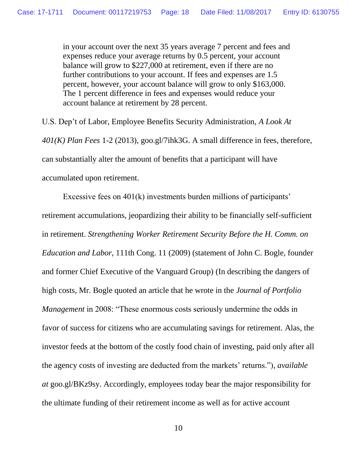in your account over the next 35 years average 7 percent and fees and expenses reduce your average returns by 0.5 percent, your account balance will grow to \$227,000 at retirement, even if there are no further contributions to your account. If fees and expenses are 1.5 percent, however, your account balance will grow to only \$163,000. The 1 percent difference in fees and expenses would reduce your account balance at retirement by 28 percent.

U.S. Dep't of Labor, Employee Benefits Security Administration, *A Look At 401(K) Plan Fees* 1-2 (2013), goo.gl/7ihk3G. A small difference in fees, therefore, can substantially alter the amount of benefits that a participant will have accumulated upon retirement.

Excessive fees on 401(k) investments burden millions of participants' retirement accumulations, jeopardizing their ability to be financially self-sufficient in retirement. *Strengthening Worker Retirement Security Before the H. Comm. on Education and Labor*, 111th Cong. 11 (2009) (statement of John C. Bogle, founder and former Chief Executive of the Vanguard Group) (In describing the dangers of high costs, Mr. Bogle quoted an article that he wrote in the *Journal of Portfolio Management* in 2008: "These enormous costs seriously undermine the odds in favor of success for citizens who are accumulating savings for retirement. Alas, the investor feeds at the bottom of the costly food chain of investing, paid only after all the agency costs of investing are deducted from the markets' returns."), *available at* goo.gl/BKz9sy. Accordingly, employees today bear the major responsibility for the ultimate funding of their retirement income as well as for active account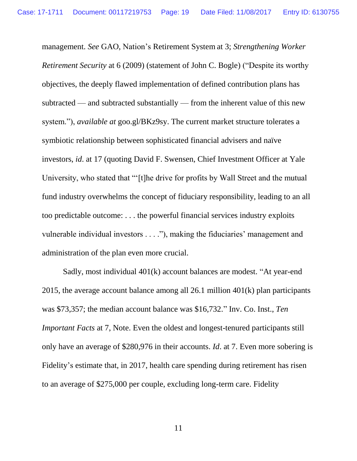management. *See* GAO, Nation's Retirement System at 3; *Strengthening Worker Retirement Security* at 6 (2009) (statement of John C. Bogle) ("Despite its worthy objectives, the deeply flawed implementation of defined contribution plans has subtracted — and subtracted substantially — from the inherent value of this new system."), *available at* goo.gl/BKz9sy. The current market structure tolerates a symbiotic relationship between sophisticated financial advisers and naïve investors, *id*. at 17 (quoting David F. Swensen, Chief Investment Officer at Yale University, who stated that "'[t]he drive for profits by Wall Street and the mutual fund industry overwhelms the concept of fiduciary responsibility, leading to an all too predictable outcome: . . . the powerful financial services industry exploits vulnerable individual investors . . . ."), making the fiduciaries' management and administration of the plan even more crucial.

Sadly, most individual 401(k) account balances are modest. "At year-end 2015, the average account balance among all 26.1 million 401(k) plan participants was \$73,357; the median account balance was \$16,732." Inv. Co. Inst., *Ten Important Facts* at 7, Note. Even the oldest and longest-tenured participants still only have an average of \$280,976 in their accounts. *Id*. at 7. Even more sobering is Fidelity's estimate that, in 2017, health care spending during retirement has risen to an average of \$275,000 per couple, excluding long-term care. Fidelity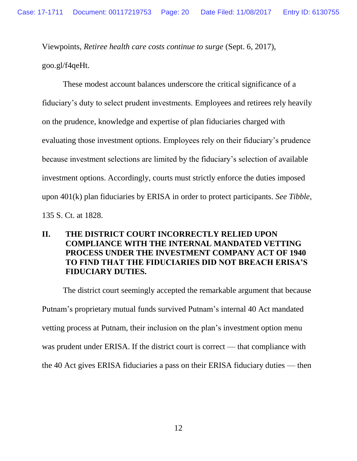Viewpoints, *Retiree health care costs continue to surge* (Sept. 6, 2017), goo.gl/f4qeHt.

These modest account balances underscore the critical significance of a fiduciary's duty to select prudent investments. Employees and retirees rely heavily on the prudence, knowledge and expertise of plan fiduciaries charged with evaluating those investment options. Employees rely on their fiduciary's prudence because investment selections are limited by the fiduciary's selection of available investment options. Accordingly, courts must strictly enforce the duties imposed upon 401(k) plan fiduciaries by ERISA in order to protect participants. *See Tibble*, 135 S. Ct. at 1828.

## **II. THE DISTRICT COURT INCORRECTLY RELIED UPON COMPLIANCE WITH THE INTERNAL MANDATED VETTING PROCESS UNDER THE INVESTMENT COMPANY ACT OF 1940 TO FIND THAT THE FIDUCIARIES DID NOT BREACH ERISA'S FIDUCIARY DUTIES.**

The district court seemingly accepted the remarkable argument that because Putnam's proprietary mutual funds survived Putnam's internal 40 Act mandated vetting process at Putnam, their inclusion on the plan's investment option menu was prudent under ERISA. If the district court is correct — that compliance with the 40 Act gives ERISA fiduciaries a pass on their ERISA fiduciary duties — then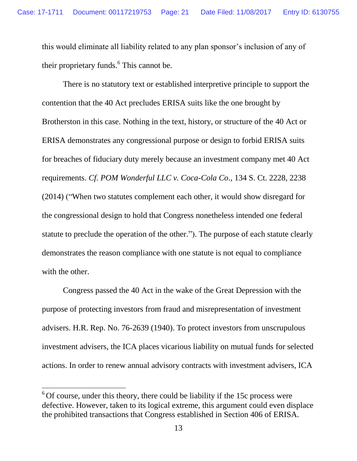this would eliminate all liability related to any plan sponsor's inclusion of any of their proprietary funds.<sup>6</sup> This cannot be.

There is no statutory text or established interpretive principle to support the contention that the 40 Act precludes ERISA suits like the one brought by Brotherston in this case. Nothing in the text, history, or structure of the 40 Act or ERISA demonstrates any congressional purpose or design to forbid ERISA suits for breaches of fiduciary duty merely because an investment company met 40 Act requirements. *Cf. POM Wonderful LLC v. Coca-Cola Co*., 134 S. Ct. 2228, 2238 (2014) ("When two statutes complement each other, it would show disregard for the congressional design to hold that Congress nonetheless intended one federal statute to preclude the operation of the other."). The purpose of each statute clearly demonstrates the reason compliance with one statute is not equal to compliance with the other.

Congress passed the 40 Act in the wake of the Great Depression with the purpose of protecting investors from fraud and misrepresentation of investment advisers. H.R. Rep. No. 76-2639 (1940). To protect investors from unscrupulous investment advisers, the ICA places vicarious liability on mutual funds for selected actions. In order to renew annual advisory contracts with investment advisers, ICA

 $6$  Of course, under this theory, there could be liability if the 15c process were defective. However, taken to its logical extreme, this argument could even displace the prohibited transactions that Congress established in Section 406 of ERISA.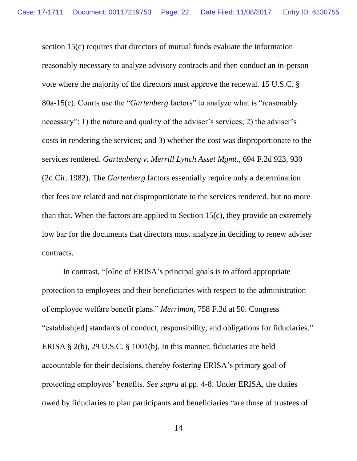section 15(c) requires that directors of mutual funds evaluate the information reasonably necessary to analyze advisory contracts and then conduct an in-person vote where the majority of the directors must approve the renewal. 15 U.S.C. § 80a-15(c). Courts use the "*Gartenberg* factors" to analyze what is "reasonably necessary": 1) the nature and quality of the adviser's services; 2) the adviser's costs in rendering the services; and 3) whether the cost was disproportionate to the services rendered. *Gartenberg v. Merrill Lynch Asset Mgmt*., 694 F.2d 923, 930 (2d Cir. 1982). The *Gartenberg* factors essentially require only a determination that fees are related and not disproportionate to the services rendered, but no more than that. When the factors are applied to Section 15(c), they provide an extremely low bar for the documents that directors must analyze in deciding to renew adviser contracts.

In contrast, "[o]ne of ERISA's principal goals is to afford appropriate protection to employees and their beneficiaries with respect to the administration of employee welfare benefit plans." *Merrimon,* 758 F.3d at 50. Congress "establish[ed] standards of conduct, responsibility, and obligations for fiduciaries." ERISA § 2(b), 29 U.S.C. § 1001(b). In this manner, fiduciaries are held accountable for their decisions, thereby fostering ERISA's primary goal of protecting employees' benefits. *See supra* at pp. 4-8. Under ERISA, the duties owed by fiduciaries to plan participants and beneficiaries "are those of trustees of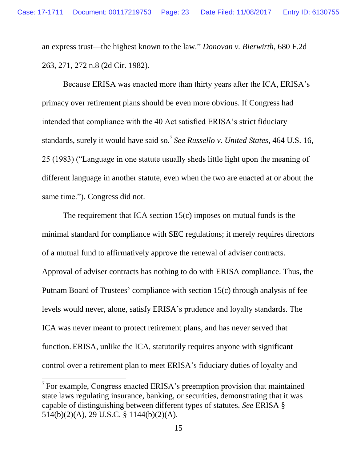an express trust—the highest known to the law." *Donovan v. Bierwirth*, 680 F.2d 263, 271, 272 n.8 (2d Cir. 1982).

Because ERISA was enacted more than thirty years after the ICA, ERISA's primacy over retirement plans should be even more obvious. If Congress had intended that compliance with the 40 Act satisfied ERISA's strict fiduciary standards, surely it would have said so.<sup>7</sup> *See Russello v. United States*, 464 U.S. 16, 25 (1983) ("Language in one statute usually sheds little light upon the meaning of different language in another statute, even when the two are enacted at or about the same time."). Congress did not.

The requirement that ICA section 15(c) imposes on mutual funds is the minimal standard for compliance with SEC regulations; it merely requires directors of a mutual fund to affirmatively approve the renewal of adviser contracts. Approval of adviser contracts has nothing to do with ERISA compliance. Thus, the Putnam Board of Trustees' compliance with section 15(c) through analysis of fee levels would never, alone, satisfy ERISA's prudence and loyalty standards. The ICA was never meant to protect retirement plans, and has never served that function. ERISA, unlike the ICA, statutorily requires anyone with significant control over a retirement plan to meet ERISA's fiduciary duties of loyalty and

 $7$  For example, Congress enacted ERISA's preemption provision that maintained state laws regulating insurance, banking, or securities, demonstrating that it was capable of distinguishing between different types of statutes. *See* ERISA § 514(b)(2)(A), 29 U.S.C. § 1144(b)(2)(A).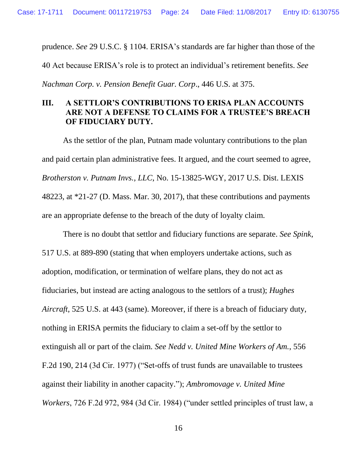prudence. *See* 29 U.S.C. § 1104. ERISA's standards are far higher than those of the

40 Act because ERISA's role is to protect an individual's retirement benefits. *See* 

*Nachman Corp. v. Pension Benefit Guar. Corp*., 446 U.S. at 375.

## **III. A SETTLOR'S CONTRIBUTIONS TO ERISA PLAN ACCOUNTS ARE NOT A DEFENSE TO CLAIMS FOR A TRUSTEE'S BREACH OF FIDUCIARY DUTY.**

As the settlor of the plan, Putnam made voluntary contributions to the plan and paid certain plan administrative fees. It argued, and the court seemed to agree, *Brotherston v. Putnam Invs., LLC*, No. 15-13825-WGY, 2017 U.S. Dist. LEXIS 48223, at \*21-27 (D. Mass. Mar. 30, 2017), that these contributions and payments are an appropriate defense to the breach of the duty of loyalty claim.

There is no doubt that settlor and fiduciary functions are separate. *See Spink*, 517 U.S. at 889-890 (stating that when employers undertake actions, such as adoption, modification, or termination of welfare plans, they do not act as fiduciaries, but instead are acting analogous to the settlors of a trust); *Hughes Aircraft*, 525 U.S. at 443 (same). Moreover, if there is a breach of fiduciary duty, nothing in ERISA permits the fiduciary to claim a set-off by the settlor to extinguish all or part of the claim. *See Nedd v. United Mine Workers of Am.*, 556 F.2d 190, 214 (3d Cir. 1977) ("Set-offs of trust funds are unavailable to trustees against their liability in another capacity."); *Ambromovage v. United Mine Workers*, 726 F.2d 972, 984 (3d Cir. 1984) ("under settled principles of trust law, a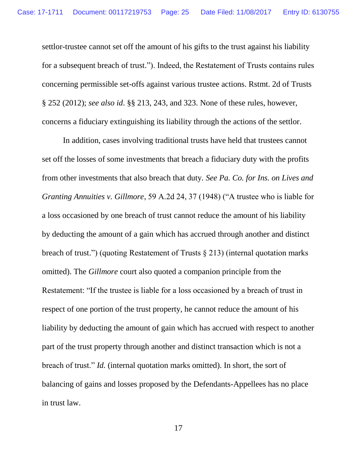settlor-trustee cannot set off the amount of his gifts to the trust against his liability for a subsequent breach of trust."). Indeed, the Restatement of Trusts contains rules concerning permissible set-offs against various trustee actions. Rstmt. 2d of Trusts § 252 (2012); *see also id*. §§ 213, 243, and 323. None of these rules, however, concerns a fiduciary extinguishing its liability through the actions of the settlor.

In addition, cases involving traditional trusts have held that trustees cannot set off the losses of some investments that breach a fiduciary duty with the profits from other investments that also breach that duty. *See Pa. Co. for Ins. on Lives and Granting Annuities v. Gillmore*, 59 A.2d 24, 37 (1948) ("A trustee who is liable for a loss occasioned by one breach of trust cannot reduce the amount of his liability by deducting the amount of a gain which has accrued through another and distinct breach of trust.") (quoting Restatement of Trusts § 213) (internal quotation marks omitted). The *Gillmore* court also quoted a companion principle from the Restatement: "If the trustee is liable for a loss occasioned by a breach of trust in respect of one portion of the trust property, he cannot reduce the amount of his liability by deducting the amount of gain which has accrued with respect to another part of the trust property through another and distinct transaction which is not a breach of trust." *Id.* (internal quotation marks omitted). In short, the sort of balancing of gains and losses proposed by the Defendants-Appellees has no place in trust law.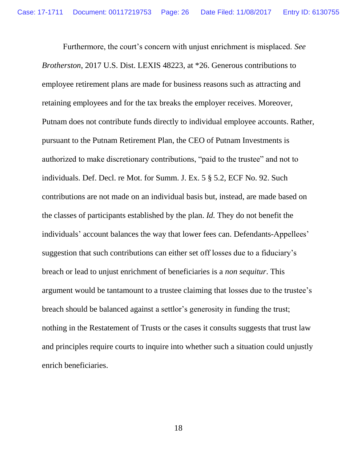Furthermore, the court's concern with unjust enrichment is misplaced. *See Brotherston*, 2017 U.S. Dist. LEXIS 48223, at \*26. Generous contributions to employee retirement plans are made for business reasons such as attracting and retaining employees and for the tax breaks the employer receives. Moreover, Putnam does not contribute funds directly to individual employee accounts. Rather, pursuant to the Putnam Retirement Plan, the CEO of Putnam Investments is authorized to make discretionary contributions, "paid to the trustee" and not to individuals. Def. Decl. re Mot. for Summ. J. Ex. 5 § 5.2, ECF No. 92. Such contributions are not made on an individual basis but, instead, are made based on the classes of participants established by the plan. *Id.* They do not benefit the individuals' account balances the way that lower fees can. Defendants-Appellees' suggestion that such contributions can either set off losses due to a fiduciary's breach or lead to unjust enrichment of beneficiaries is a *non sequitur*. This argument would be tantamount to a trustee claiming that losses due to the trustee's breach should be balanced against a settlor's generosity in funding the trust; nothing in the Restatement of Trusts or the cases it consults suggests that trust law and principles require courts to inquire into whether such a situation could unjustly enrich beneficiaries.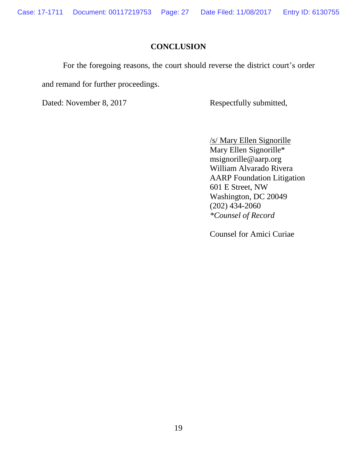Case: 17-1711 Document: 00117219753 Page: 27 Date Filed: 11/08/2017 Entry ID: 6130755

### **CONCLUSION**

For the foregoing reasons, the court should reverse the district court's order

and remand for further proceedings.

Dated: November 8, 2017 Respectfully submitted,

/s/ Mary Ellen Signorille Mary Ellen Signorille\* msignorille@aarp.org William Alvarado Rivera AARP Foundation Litigation 601 E Street, NW Washington, DC 20049 (202) 434-2060 *\*Counsel of Record*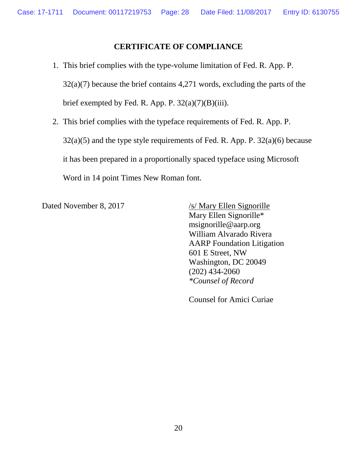### **CERTIFICATE OF COMPLIANCE**

- 1. This brief complies with the type-volume limitation of Fed. R. App. P.  $32(a)(7)$  because the brief contains 4,271 words, excluding the parts of the brief exempted by Fed. R. App. P.  $32(a)(7)(B)(iii)$ .
- 2. This brief complies with the typeface requirements of Fed. R. App. P.  $32(a)(5)$  and the type style requirements of Fed. R. App. P.  $32(a)(6)$  because it has been prepared in a proportionally spaced typeface using Microsoft Word in 14 point Times New Roman font.

Dated November 8, 2017 /s/ Mary Ellen Signorille Mary Ellen Signorille\* msignorille@aarp.org William Alvarado Rivera AARP Foundation Litigation 601 E Street, NW Washington, DC 20049 (202) 434-2060 *\*Counsel of Record*